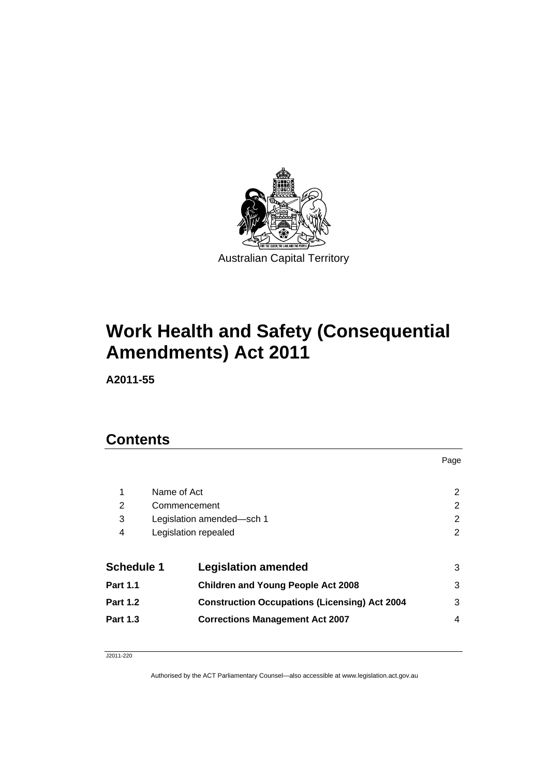

# **Work Health and Safety (Consequential Amendments) Act 2011**

**A2011-55** 

# **Contents**

| 1                 | Name of Act               |                                                      | 2 |
|-------------------|---------------------------|------------------------------------------------------|---|
| 2                 |                           | Commencement                                         | 2 |
| 3                 | Legislation amended-sch 1 |                                                      | 2 |
| 4                 | Legislation repealed      |                                                      | 2 |
| <b>Schedule 1</b> |                           | <b>Legislation amended</b>                           | 3 |
| <b>Part 1.1</b>   |                           | <b>Children and Young People Act 2008</b>            | 3 |
| <b>Part 1.2</b>   |                           | <b>Construction Occupations (Licensing) Act 2004</b> | 3 |
| <b>Part 1.3</b>   |                           | <b>Corrections Management Act 2007</b>               | 4 |
|                   |                           |                                                      |   |

Page

#### J2011-220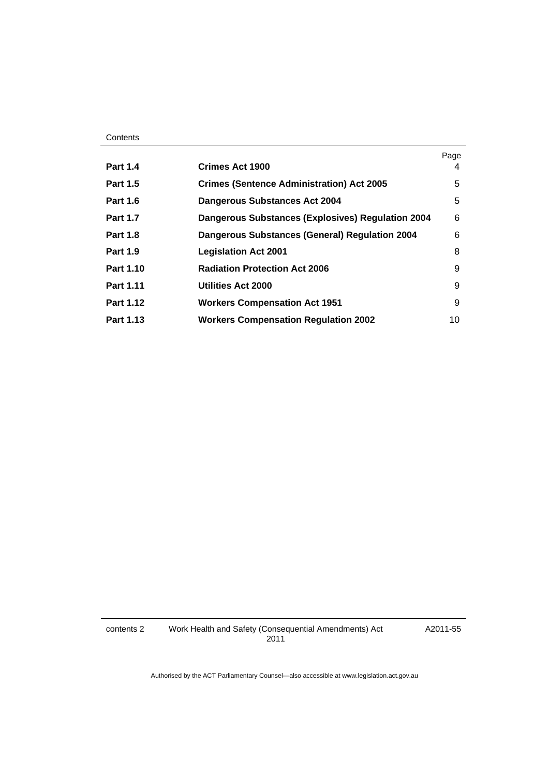#### **Contents**

|                  |                                                          | Page |
|------------------|----------------------------------------------------------|------|
| <b>Part 1.4</b>  | Crimes Act 1900                                          | 4    |
| <b>Part 1.5</b>  | <b>Crimes (Sentence Administration) Act 2005</b>         | 5    |
| <b>Part 1.6</b>  | <b>Dangerous Substances Act 2004</b>                     | 5    |
| <b>Part 1.7</b>  | <b>Dangerous Substances (Explosives) Regulation 2004</b> | 6    |
| <b>Part 1.8</b>  | <b>Dangerous Substances (General) Regulation 2004</b>    | 6    |
| <b>Part 1.9</b>  | <b>Legislation Act 2001</b>                              | 8    |
| Part 1.10        | <b>Radiation Protection Act 2006</b>                     | 9    |
| <b>Part 1.11</b> | <b>Utilities Act 2000</b>                                | 9    |
| <b>Part 1.12</b> | <b>Workers Compensation Act 1951</b>                     | 9    |
| Part 1.13        | <b>Workers Compensation Regulation 2002</b>              | 10   |

contents 2 Work Health and Safety (Consequential Amendments) Act 2011

A2011-55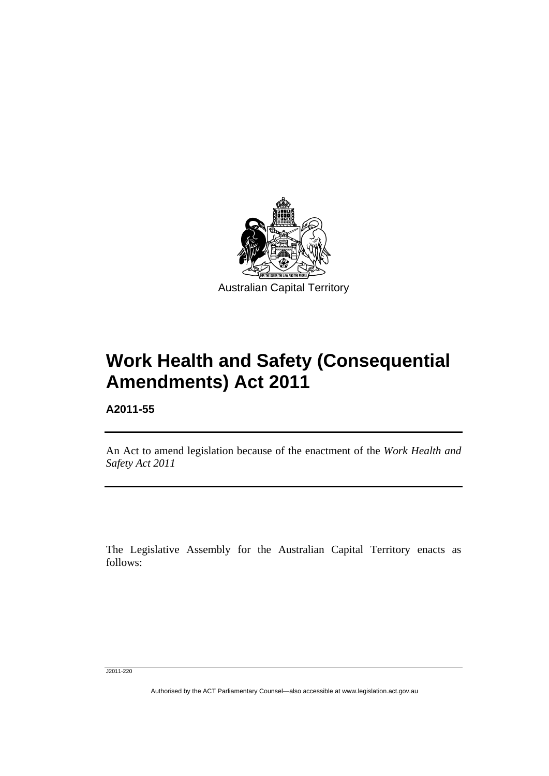

# **Work Health and Safety (Consequential Amendments) Act 2011**

**A2011-55** 

Ī

An Act to amend legislation because of the enactment of the *Work Health and Safety Act 2011*

The Legislative Assembly for the Australian Capital Territory enacts as follows:

J2011-220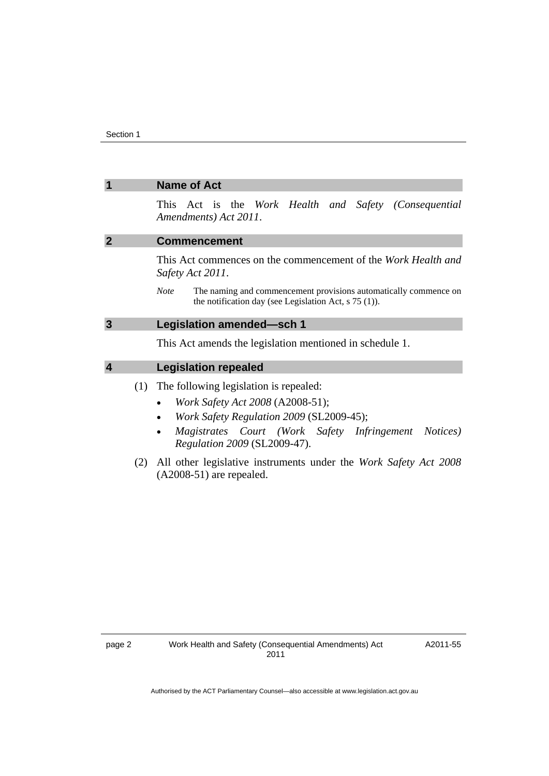<span id="page-3-3"></span><span id="page-3-2"></span><span id="page-3-1"></span><span id="page-3-0"></span>

| $\overline{\mathbf{1}}$ | <b>Name of Act</b>                                                                                                                                                                                                                     |  |  |
|-------------------------|----------------------------------------------------------------------------------------------------------------------------------------------------------------------------------------------------------------------------------------|--|--|
|                         | This Act is the Work Health and Safety (Consequential<br>Amendments) Act 2011.                                                                                                                                                         |  |  |
| $\overline{2}$          | <b>Commencement</b>                                                                                                                                                                                                                    |  |  |
|                         | This Act commences on the commencement of the Work Health and<br>Safety Act 2011.                                                                                                                                                      |  |  |
|                         | The naming and commencement provisions automatically commence on<br><b>Note</b><br>the notification day (see Legislation Act, $s$ 75 (1)).                                                                                             |  |  |
| $\mathbf{3}$            | Legislation amended-sch 1                                                                                                                                                                                                              |  |  |
|                         | This Act amends the legislation mentioned in schedule 1.                                                                                                                                                                               |  |  |
| $\overline{\mathbf{4}}$ | <b>Legislation repealed</b>                                                                                                                                                                                                            |  |  |
| (1)                     | The following legislation is repealed:<br>Work Safety Act 2008 (A2008-51);<br>$\bullet$<br>Work Safety Regulation 2009 (SL2009-45);<br>Magistrates Court (Work Safety Infringement<br><i>Notices</i> )<br>Regulation 2009 (SL2009-47). |  |  |
| (2)                     | All other legislative instruments under the Work Safety Act 2008<br>$(A2008-51)$ are repealed.                                                                                                                                         |  |  |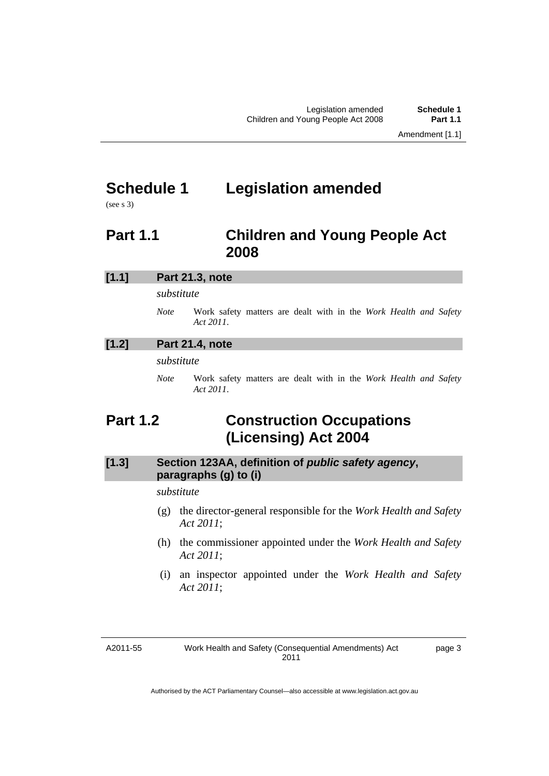# <span id="page-4-0"></span>**Schedule 1 Legislation amended**

(see s 3)

# <span id="page-4-1"></span>**Part 1.1 Children and Young People Act 2008**

| [1.1] | Part 21.3, note |                                                                               |  |  |
|-------|-----------------|-------------------------------------------------------------------------------|--|--|
|       | substitute      |                                                                               |  |  |
|       | <b>Note</b>     | Work safety matters are dealt with in the Work Health and Safety<br>Act 2011. |  |  |
| [1.2] |                 | Part 21.4, note                                                               |  |  |
|       | substitute      |                                                                               |  |  |
|       | <b>Note</b>     | Work safety matters are dealt with in the Work Health and Safety<br>Act 2011. |  |  |

# <span id="page-4-2"></span>**Part 1.2 Construction Occupations (Licensing) Act 2004**

# **[1.3] Section 123AA, definition of** *public safety agency***, paragraphs (g) to (i)**

### *substitute*

- (g) the director-general responsible for the *Work Health and Safety Act 2011*;
- (h) the commissioner appointed under the *Work Health and Safety Act 2011*;
- (i) an inspector appointed under the *Work Health and Safety Act 2011*;

A2011-55

Work Health and Safety (Consequential Amendments) Act 2011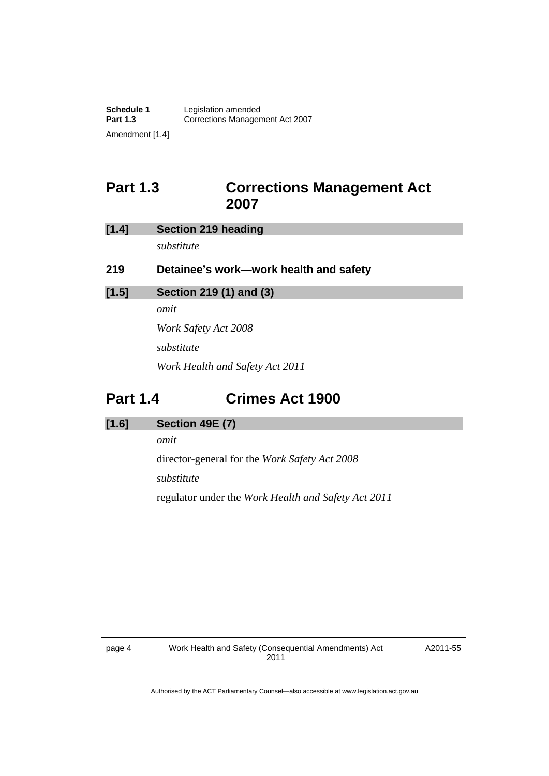# <span id="page-5-0"></span>**Part 1.3 Corrections Management Act 2007**

| [1.4] | <b>Section 219 heading</b>             |  |  |
|-------|----------------------------------------|--|--|
|       | substitute                             |  |  |
| 219   | Detainee's work—work health and safety |  |  |
| [1.5] | Section 219 (1) and (3)                |  |  |
|       | omit                                   |  |  |
|       | <i>Work Safety Act 2008</i>            |  |  |
|       | substitute                             |  |  |
|       | Work Health and Safety Act 2011        |  |  |
|       |                                        |  |  |

# <span id="page-5-1"></span>**Part 1.4 Crimes Act 1900**

### **[1.6] Section 49E (7)**

*omit* 

director-general for the *Work Safety Act 2008* 

*substitute* 

regulator under the *Work Health and Safety Act 2011*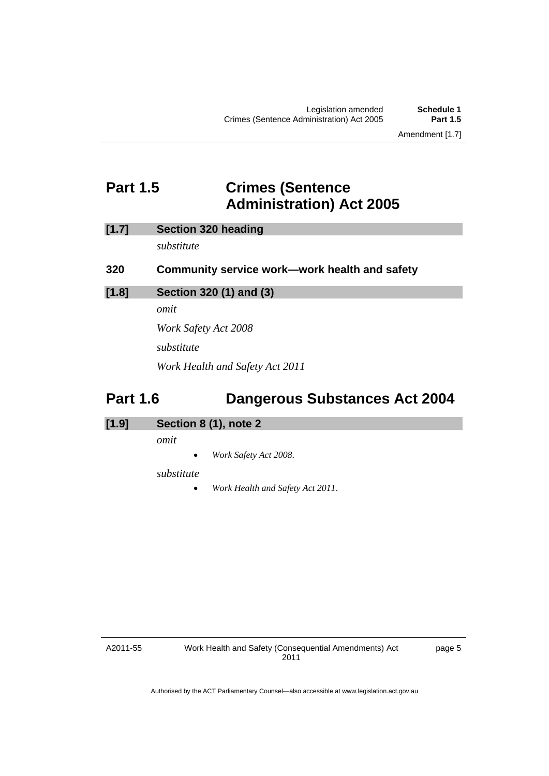# <span id="page-6-0"></span>**Part 1.5 Crimes (Sentence Administration) Act 2005**

| [1.7] |  | <b>Section 320 heading</b> |
|-------|--|----------------------------|
|       |  |                            |

*substitute* 

| 320 |  |  | Community service work—work health and safety |  |
|-----|--|--|-----------------------------------------------|--|
|-----|--|--|-----------------------------------------------|--|

### **[1.8] Section 320 (1) and (3)**

*omit* 

*Work Safety Act 2008 substitute Work Health and Safety Act 2011* 

# <span id="page-6-1"></span>**Part 1.6 Dangerous Substances Act 2004**

| [1.9] | Section 8 (1), note 2 |  |
|-------|-----------------------|--|

*omit* 

*Work Safety Act 2008*.

#### *substitute*

*Work Health and Safety Act 2011*.

A2011-55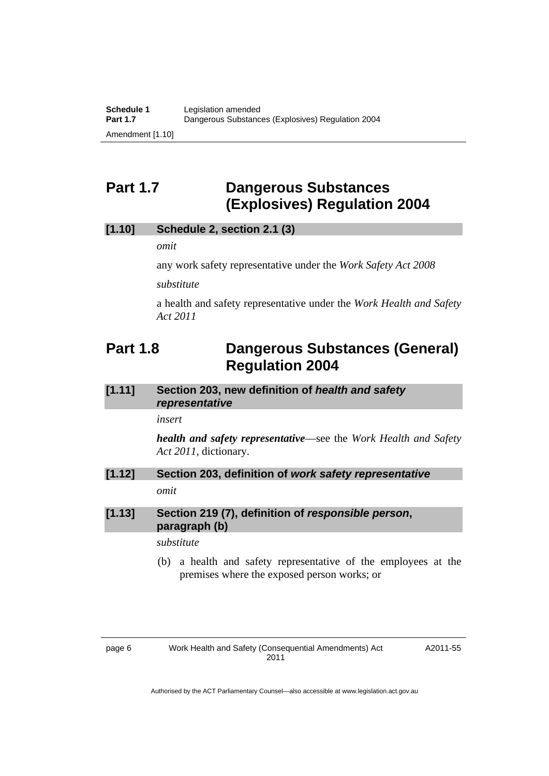# <span id="page-7-0"></span>**Part 1.7 Dangerous Substances (Explosives) Regulation 2004**

### **[1.10] Schedule 2, section 2.1 (3)**

*omit* 

any work safety representative under the *Work Safety Act 2008*

*substitute* 

a health and safety representative under the *Work Health and Safety Act 2011*

# <span id="page-7-1"></span>**Part 1.8 Dangerous Substances (General) Regulation 2004**

**[1.11] Section 203, new definition of** *health and safety representative* 

*insert* 

*health and safety representative*—see the *Work Health and Safety Act 2011*, dictionary.

**[1.12] Section 203, definition of** *work safety representative omit* 

### **[1.13] Section 219 (7), definition of** *responsible person***, paragraph (b)**

*substitute* 

 (b) a health and safety representative of the employees at the premises where the exposed person works; or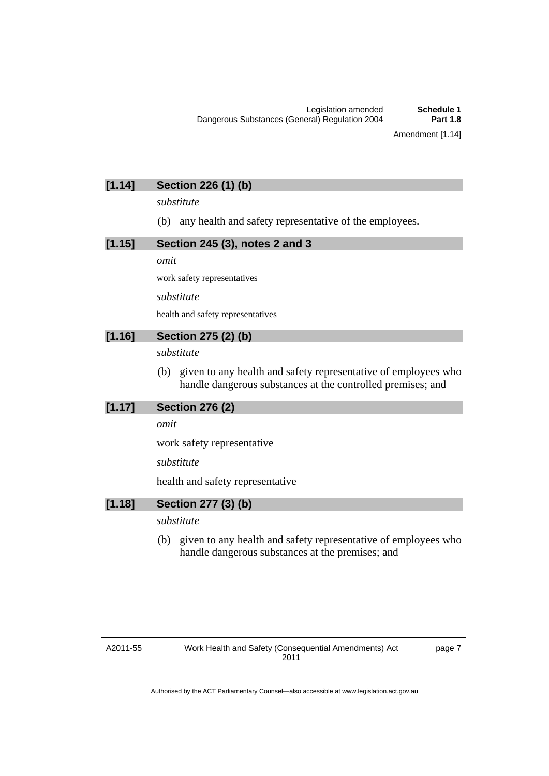# **[1.14] Section 226 (1) (b)**

*substitute* 

(b) any health and safety representative of the employees.

#### **[1.15] Section 245 (3), notes 2 and 3**

*omit* 

work safety representatives

*substitute* 

health and safety representatives

### **[1.16] Section 275 (2) (b)**

*substitute* 

 (b) given to any health and safety representative of employees who handle dangerous substances at the controlled premises; and

#### **[1.17] Section 276 (2)**

*omit* 

work safety representative

*substitute* 

health and safety representative

#### **[1.18] Section 277 (3) (b)**

### *substitute*

 (b) given to any health and safety representative of employees who handle dangerous substances at the premises; and

#### A2011-55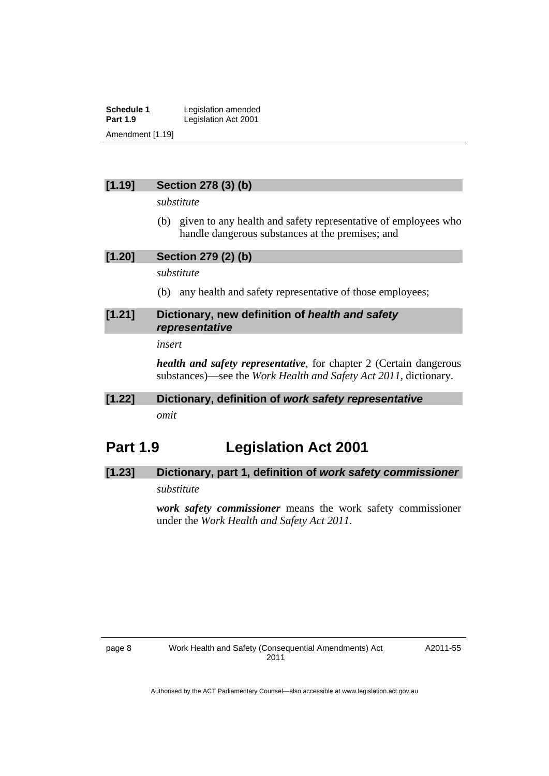**Schedule 1** Legislation amended<br> **Part 1.9** Legislation Act 2001 Legislation Act 2001 Amendment [1.19]

### **[1.19] Section 278 (3) (b)**

*substitute* 

 (b) given to any health and safety representative of employees who handle dangerous substances at the premises; and

**[1.20] Section 279 (2) (b)** 

*substitute* 

(b) any health and safety representative of those employees;

### **[1.21] Dictionary, new definition of** *health and safety representative*

#### *insert*

*health and safety representative*, for chapter 2 (Certain dangerous substances)—see the *Work Health and Safety Act 2011*, dictionary.

## **[1.22] Dictionary, definition of** *work safety representative omit*

# <span id="page-9-0"></span>**Part 1.9 Legislation Act 2001**

### **[1.23] Dictionary, part 1, definition of** *work safety commissioner*

### *substitute*

*work safety commissioner* means the work safety commissioner under the *Work Health and Safety Act 2011*.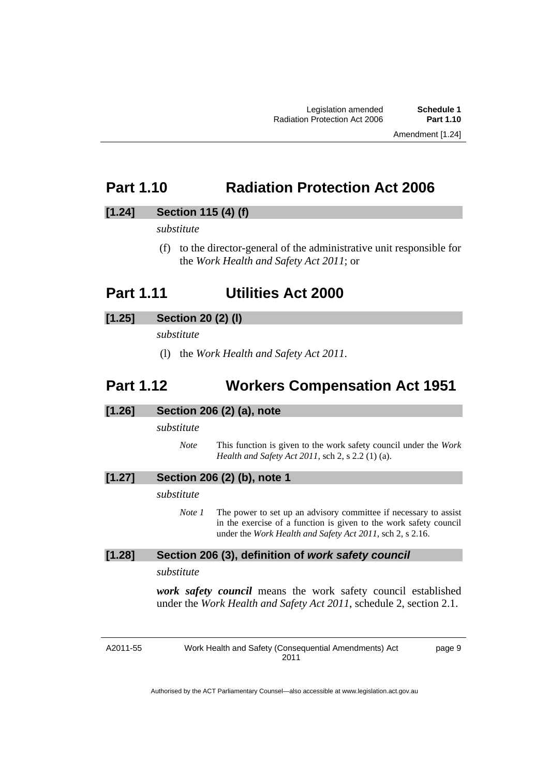# <span id="page-10-0"></span>**Part 1.10 Radiation Protection Act 2006**

### **[1.24] Section 115 (4) (f)**

*substitute* 

 (f) to the director-general of the administrative unit responsible for the *Work Health and Safety Act 2011*; or

# <span id="page-10-1"></span>**Part 1.11 Utilities Act 2000**

### **[1.25] Section 20 (2) (l)**

*substitute* 

(l) the *Work Health and Safety Act 2011*.

# <span id="page-10-2"></span>**Part 1.12 Workers Compensation Act 1951**

### **[1.26] Section 206 (2) (a), note**

#### *substitute*

*Note* This function is given to the work safety council under the *Work Health and Safety Act 2011*, sch 2, s 2.2 (1) (a).

#### **[1.27] Section 206 (2) (b), note 1**

#### *substitute*

*Note 1* The power to set up an advisory committee if necessary to assist in the exercise of a function is given to the work safety council under the *Work Health and Safety Act 2011*, sch 2, s 2.16.

### **[1.28] Section 206 (3), definition of** *work safety council*

#### *substitute*

*work safety council* means the work safety council established under the *Work Health and Safety Act 2011*, schedule 2, section 2.1.

A2011-55

Work Health and Safety (Consequential Amendments) Act 2011